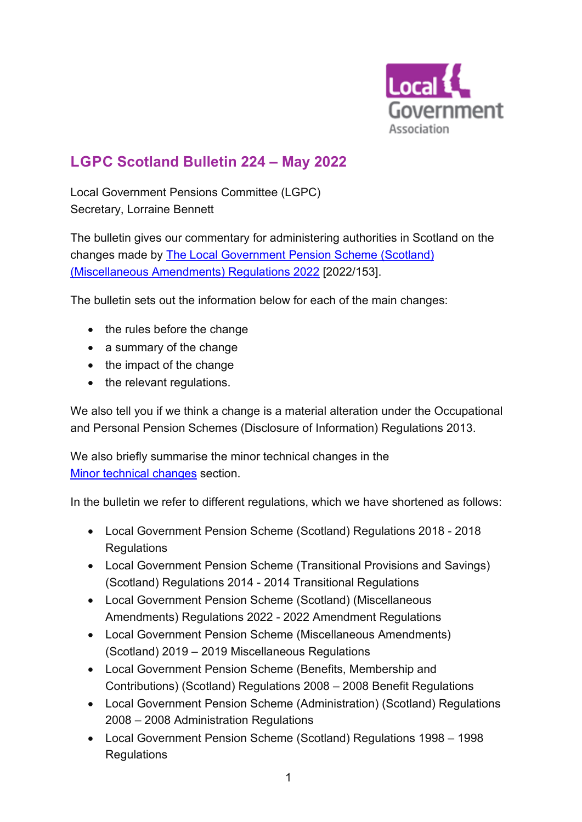

# **L G P C Scotland Bulletin 224 – May 2022**

Local Government Pensions Committee (LGPC) Secretary, Lorraine Bennett

The bulletin gives our commentary for administering authorities in Scotland on the changes made by [The Local Government Pension Scheme](https://www.legislation.gov.uk/ssi/2022/153/contents/made) (Scotland) [\(Miscellaneous Amendments\) Regulations 2022](https://www.legislation.gov.uk/ssi/2022/153/contents/made) [2022/153].

The bulletin sets out the information below for each of the main changes:

- the rules before the change
- a summary of the change
- the impact of the change
- the relevant regulations.

We also tell you if we think a change is a material alteration under the Occupational and Personal Pension Schemes (Disclosure of Information) Regulations 2013.

We also briefly summarise the minor technical changes in the [Minor technical changes](#page-11-0) section.

In the bulletin we refer to different regulations, which we have shortened as follows:

- Local Government Pension Scheme (Scotland) Regulations 2018 2018 **Regulations**
- Local Government Pension Scheme (Transitional Provisions and Savings) (Scotland) Regulations 2014 - 2014 Transitional Regulations
- Local Government Pension Scheme (Scotland) (Miscellaneous Amendments) Regulations 2022 - 2022 Amendment Regulations
- Local Government Pension Scheme (Miscellaneous Amendments) (Scotland) 2019 – 2019 Miscellaneous Regulations
- Local Government Pension Scheme (Benefits, Membership and Contributions) (Scotland) Regulations 2008 – 2008 Benefit Regulations
- Local Government Pension Scheme (Administration) (Scotland) Regulations 2008 – 2008 Administration Regulations
- Local Government Pension Scheme (Scotland) Regulations 1998 1998 **Regulations**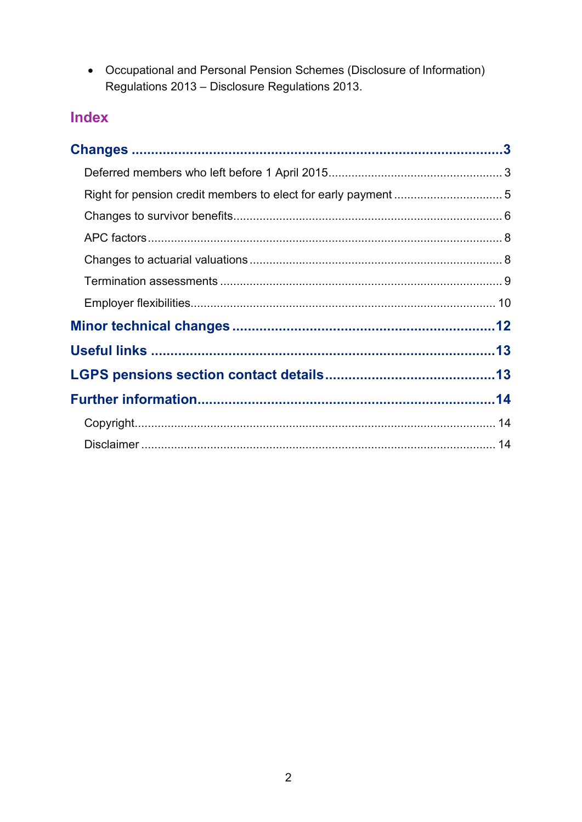• Occupational and Personal Pension Schemes (Disclosure of Information) Regulations 2013 - Disclosure Regulations 2013.

# Index

<span id="page-1-0"></span>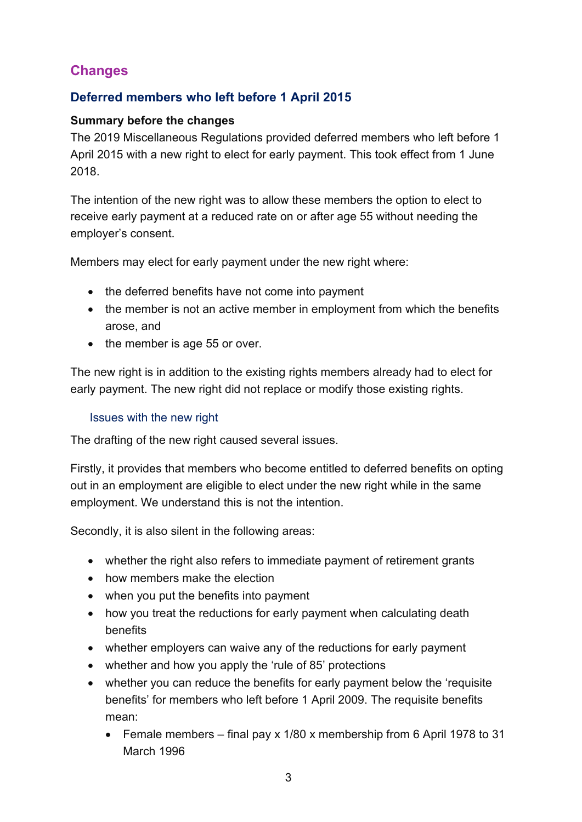## **Changes**

### <span id="page-2-0"></span>**Deferred members who left before 1 April 2015**

#### **Summary before the changes**

The 2019 Miscellaneous Regulations provided deferred members who left before 1 April 2015 with a new right to elect for early payment. This took effect from 1 June 2018.

The intention of the new right was to allow these members the option to elect to receive early payment at a reduced rate on or after age 55 without needing the employer's consent.

Members may elect for early payment under the new right where:

- the deferred benefits have not come into payment
- the member is not an active member in employment from which the benefits arose, and
- the member is age 55 or over.

The new right is in addition to the existing rights members already had to elect for early payment. The new right did not replace or modify those existing rights.

#### Issues with the new right

The drafting of the new right caused several issues.

Firstly, it provides that members who become entitled to deferred benefits on opting out in an employment are eligible to elect under the new right while in the same employment. We understand this is not the intention.

Secondly, it is also silent in the following areas:

- whether the right also refers to immediate payment of retirement grants
- how members make the election
- when you put the benefits into payment
- how you treat the reductions for early payment when calculating death benefits
- whether employers can waive any of the reductions for early payment
- whether and how you apply the 'rule of 85' protections
- whether you can reduce the benefits for early payment below the 'requisite benefits' for members who left before 1 April 2009. The requisite benefits mean:
	- Female members final pay x 1/80 x membership from 6 April 1978 to 31 March 1996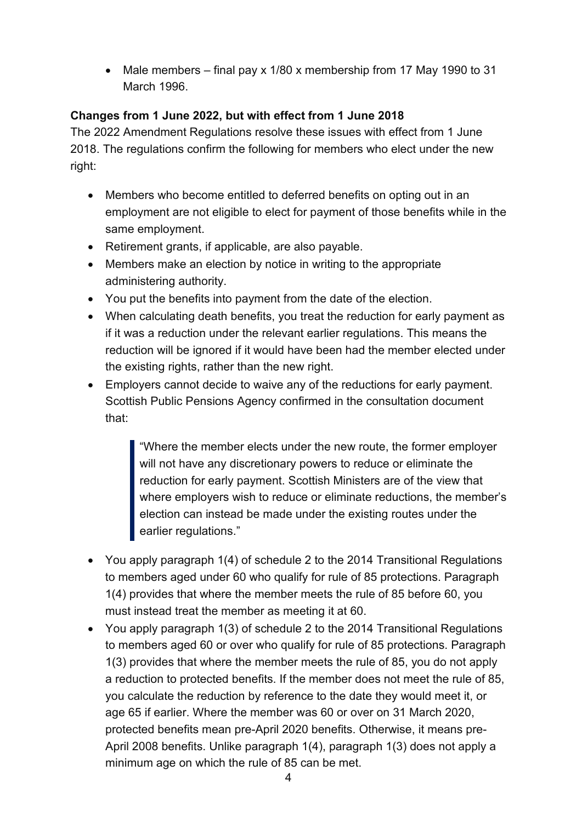• Male members – final pay x 1/80 x membership from 17 May 1990 to 31 March 1996.

#### **Changes from 1 June 2022, but with effect from 1 June 2018**

The 2022 Amendment Regulations resolve these issues with effect from 1 June 2018. The regulations confirm the following for members who elect under the new right:

- Members who become entitled to deferred benefits on opting out in an employment are not eligible to elect for payment of those benefits while in the same employment.
- Retirement grants, if applicable, are also payable.
- Members make an election by notice in writing to the appropriate administering authority.
- You put the benefits into payment from the date of the election.
- When calculating death benefits, you treat the reduction for early payment as if it was a reduction under the relevant earlier regulations. This means the reduction will be ignored if it would have been had the member elected under the existing rights, rather than the new right.
- Employers cannot decide to waive any of the reductions for early payment. Scottish Public Pensions Agency confirmed in the consultation document that:

"Where the member elects under the new route, the former employer will not have any discretionary powers to reduce or eliminate the reduction for early payment. Scottish Ministers are of the view that where employers wish to reduce or eliminate reductions, the member's election can instead be made under the existing routes under the earlier regulations."

- You apply paragraph 1(4) of schedule 2 to the 2014 Transitional Regulations to members aged under 60 who qualify for rule of 85 protections. Paragraph 1(4) provides that where the member meets the rule of 85 before 60, you must instead treat the member as meeting it at 60.
- You apply paragraph 1(3) of schedule 2 to the 2014 Transitional Regulations to members aged 60 or over who qualify for rule of 85 protections. Paragraph 1(3) provides that where the member meets the rule of 85, you do not apply a reduction to protected benefits. If the member does not meet the rule of 85, you calculate the reduction by reference to the date they would meet it, or age 65 if earlier. Where the member was 60 or over on 31 March 2020, protected benefits mean pre-April 2020 benefits. Otherwise, it means pre-April 2008 benefits. Unlike paragraph 1(4), paragraph 1(3) does not apply a minimum age on which the rule of 85 can be met.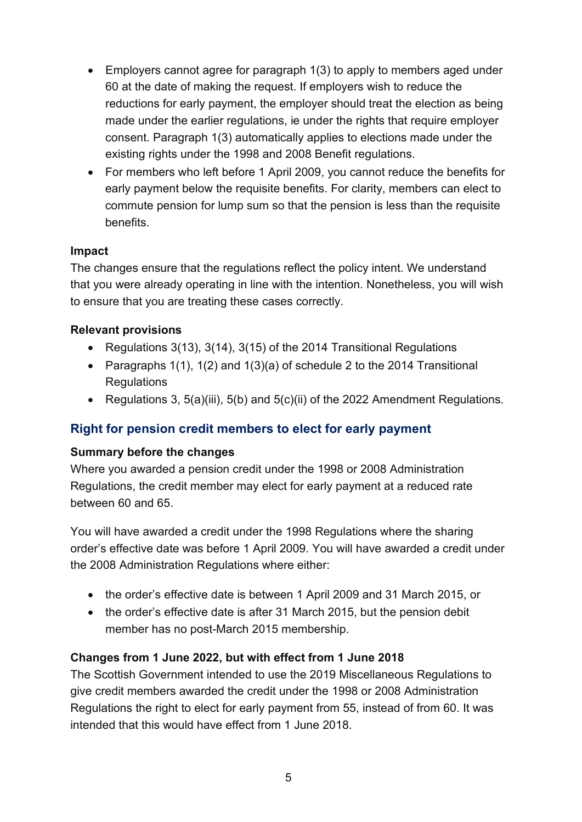- Employers cannot agree for paragraph 1(3) to apply to members aged under 60 at the date of making the request. If employers wish to reduce the reductions for early payment, the employer should treat the election as being made under the earlier regulations, ie under the rights that require employer consent. Paragraph 1(3) automatically applies to elections made under the existing rights under the 1998 and 2008 Benefit regulations.
- For members who left before 1 April 2009, you cannot reduce the benefits for early payment below the requisite benefits. For clarity, members can elect to commute pension for lump sum so that the pension is less than the requisite benefits.

#### **Impact**

The changes ensure that the regulations reflect the policy intent. We understand that you were already operating in line with the intention. Nonetheless, you will wish to ensure that you are treating these cases correctly.

#### **Relevant provisions**

- Regulations 3(13), 3(14), 3(15) of the 2014 Transitional Regulations
- Paragraphs 1(1), 1(2) and 1(3)(a) of schedule 2 to the 2014 Transitional **Regulations**
- Regulations 3, 5(a)(iii), 5(b) and 5(c)(ii) of the 2022 Amendment Regulations.

#### <span id="page-4-0"></span>**Right for pension credit members to elect for early payment**

#### **Summary before the changes**

Where you awarded a pension credit under the 1998 or 2008 Administration Regulations, the credit member may elect for early payment at a reduced rate between 60 and 65.

You will have awarded a credit under the 1998 Regulations where the sharing order's effective date was before 1 April 2009. You will have awarded a credit under the 2008 Administration Regulations where either:

- the order's effective date is between 1 April 2009 and 31 March 2015, or
- the order's effective date is after 31 March 2015, but the pension debit member has no post-March 2015 membership.

#### **Changes from 1 June 2022, but with effect from 1 June 2018**

The Scottish Government intended to use the 2019 Miscellaneous Regulations to give credit members awarded the credit under the 1998 or 2008 Administration Regulations the right to elect for early payment from 55, instead of from 60. It was intended that this would have effect from 1 June 2018.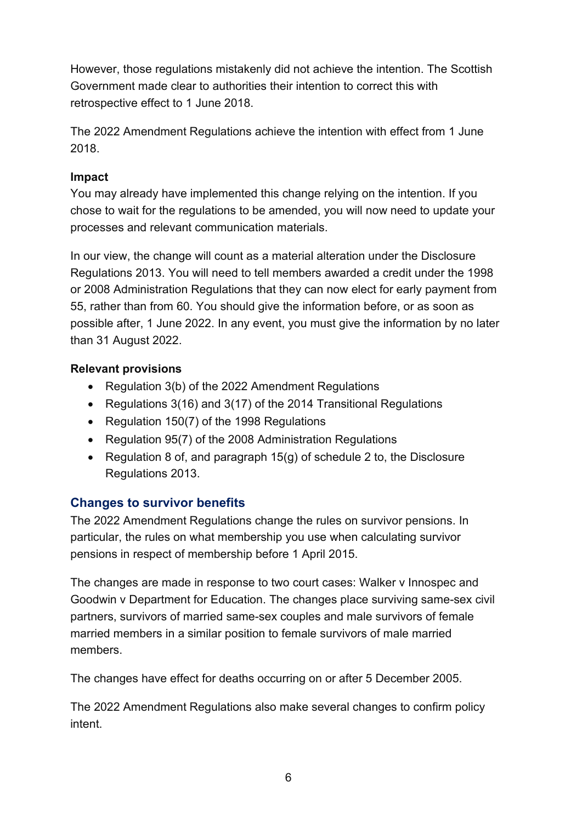However, those regulations mistakenly did not achieve the intention. The Scottish Government made clear to authorities their intention to correct this with retrospective effect to 1 June 2018.

The 2022 Amendment Regulations achieve the intention with effect from 1 June 2018.

#### **Impact**

You may already have implemented this change relying on the intention. If you chose to wait for the regulations to be amended, you will now need to update your processes and relevant communication materials.

In our view, the change will count as a material alteration under the Disclosure Regulations 2013. You will need to tell members awarded a credit under the 1998 or 2008 Administration Regulations that they can now elect for early payment from 55, rather than from 60. You should give the information before, or as soon as possible after, 1 June 2022. In any event, you must give the information by no later than 31 August 2022.

#### **Relevant provisions**

- Regulation 3(b) of the 2022 Amendment Regulations
- Regulations 3(16) and 3(17) of the 2014 Transitional Regulations
- Regulation 150(7) of the 1998 Regulations
- Regulation 95(7) of the 2008 Administration Regulations
- Regulation 8 of, and paragraph  $15(q)$  of schedule 2 to, the Disclosure Regulations 2013.

### <span id="page-5-0"></span>**Changes to survivor benefits**

The 2022 Amendment Regulations change the rules on survivor pensions. In particular, the rules on what membership you use when calculating survivor pensions in respect of membership before 1 April 2015.

The changes are made in response to two court cases: Walker v Innospec and Goodwin v Department for Education. The changes place surviving same-sex civil partners, survivors of married same-sex couples and male survivors of female married members in a similar position to female survivors of male married members.

The changes have effect for deaths occurring on or after 5 December 2005.

The 2022 Amendment Regulations also make several changes to confirm policy intent.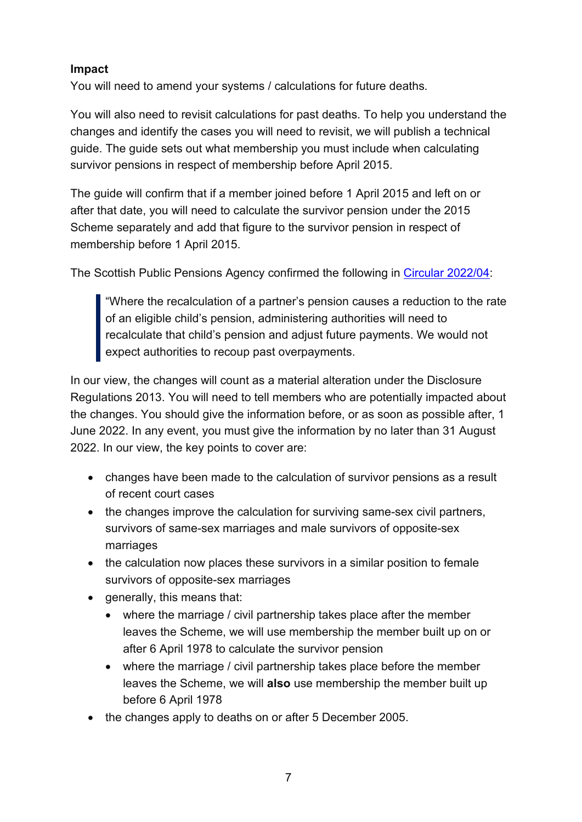#### **Impact**

You will need to amend your systems / calculations for future deaths.

You will also need to revisit calculations for past deaths. To help you understand the changes and identify the cases you will need to revisit, we will publish a technical guide. The guide sets out what membership you must include when calculating survivor pensions in respect of membership before April 2015.

The guide will confirm that if a member joined before 1 April 2015 and left on or after that date, you will need to calculate the survivor pension under the 2015 Scheme separately and add that figure to the survivor pension in respect of membership before 1 April 2015.

The Scottish Public Pensions Agency confirmed the following in [Circular 2022/04:](https://www.lgpslibrary.org/assets/sppacirc/202204.pdf)

"Where the recalculation of a partner's pension causes a reduction to the rate of an eligible child's pension, administering authorities will need to recalculate that child's pension and adjust future payments. We would not expect authorities to recoup past overpayments.

In our view, the changes will count as a material alteration under the Disclosure Regulations 2013. You will need to tell members who are potentially impacted about the changes. You should give the information before, or as soon as possible after, 1 June 2022. In any event, you must give the information by no later than 31 August 2022. In our view, the key points to cover are:

- changes have been made to the calculation of survivor pensions as a result of recent court cases
- the changes improve the calculation for surviving same-sex civil partners, survivors of same-sex marriages and male survivors of opposite-sex marriages
- the calculation now places these survivors in a similar position to female survivors of opposite-sex marriages
- generally, this means that:
	- where the marriage / civil partnership takes place after the member leaves the Scheme, we will use membership the member built up on or after 6 April 1978 to calculate the survivor pension
	- where the marriage / civil partnership takes place before the member leaves the Scheme, we will **also** use membership the member built up before 6 April 1978
- the changes apply to deaths on or after 5 December 2005.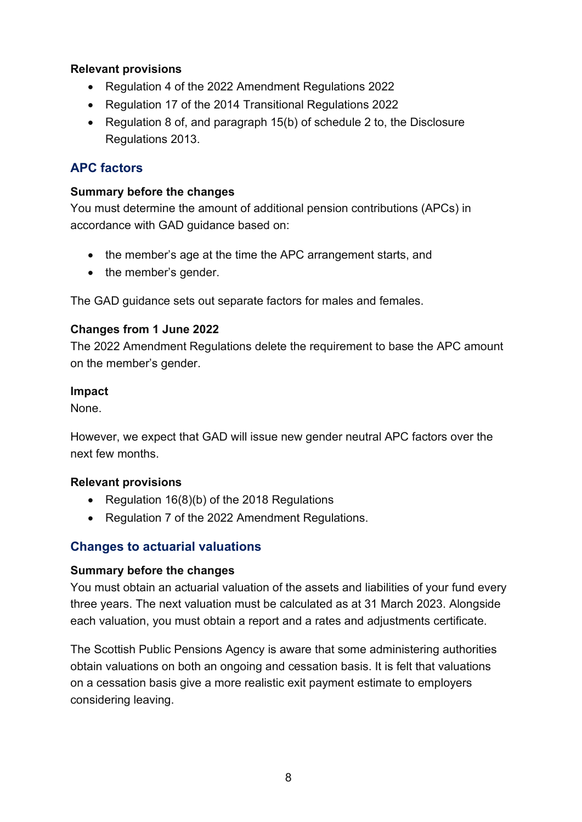#### **Relevant provisions**

- Regulation 4 of the 2022 Amendment Regulations 2022
- Regulation 17 of the 2014 Transitional Regulations 2022
- Regulation 8 of, and paragraph 15(b) of schedule 2 to, the Disclosure Regulations 2013.

#### <span id="page-7-0"></span>**APC factors**

#### **Summary before the changes**

You must determine the amount of additional pension contributions (APCs) in accordance with GAD guidance based on:

- the member's age at the time the APC arrangement starts, and
- the member's gender.

The GAD guidance sets out separate factors for males and females.

#### **Changes from 1 June 2022**

The 2022 Amendment Regulations delete the requirement to base the APC amount on the member's gender.

#### **Impact**

None.

However, we expect that GAD will issue new gender neutral APC factors over the next few months.

#### **Relevant provisions**

- Regulation 16(8)(b) of the 2018 Regulations
- Regulation 7 of the 2022 Amendment Regulations.

#### <span id="page-7-1"></span>**Changes to actuarial valuations**

#### **Summary before the changes**

You must obtain an actuarial valuation of the assets and liabilities of your fund every three years. The next valuation must be calculated as at 31 March 2023. Alongside each valuation, you must obtain a report and a rates and adjustments certificate.

The Scottish Public Pensions Agency is aware that some administering authorities obtain valuations on both an ongoing and cessation basis. It is felt that valuations on a cessation basis give a more realistic exit payment estimate to employers considering leaving.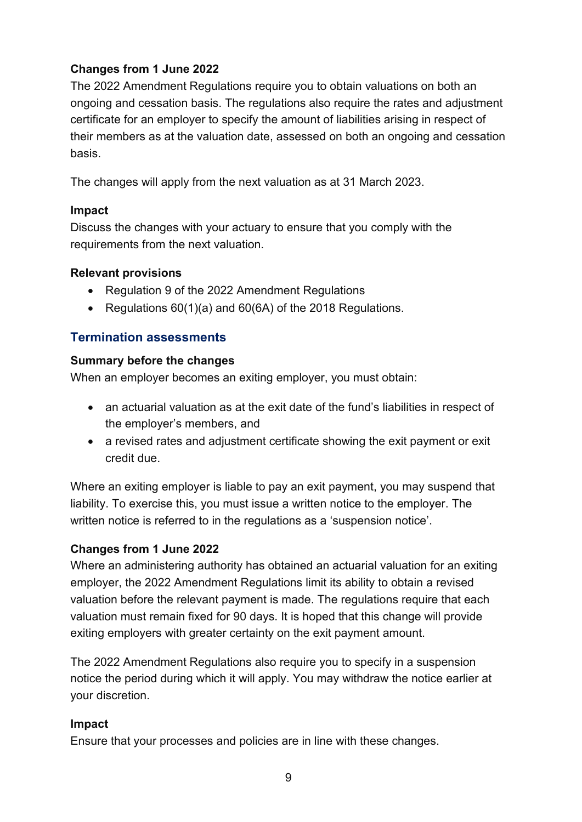#### **Changes from 1 June 2022**

The 2022 Amendment Regulations require you to obtain valuations on both an ongoing and cessation basis. The regulations also require the rates and adjustment certificate for an employer to specify the amount of liabilities arising in respect of their members as at the valuation date, assessed on both an ongoing and cessation basis.

The changes will apply from the next valuation as at 31 March 2023.

#### **Impact**

Discuss the changes with your actuary to ensure that you comply with the requirements from the next valuation.

#### **Relevant provisions**

- Regulation 9 of the 2022 Amendment Regulations
- Regulations 60(1)(a) and 60(6A) of the 2018 Regulations.

### <span id="page-8-0"></span>**Termination assessments**

#### **Summary before the changes**

When an employer becomes an exiting employer, you must obtain:

- an actuarial valuation as at the exit date of the fund's liabilities in respect of the employer's members, and
- a revised rates and adjustment certificate showing the exit payment or exit credit due.

Where an exiting employer is liable to pay an exit payment, you may suspend that liability. To exercise this, you must issue a written notice to the employer. The written notice is referred to in the regulations as a 'suspension notice'.

#### **Changes from 1 June 2022**

Where an administering authority has obtained an actuarial valuation for an exiting employer, the 2022 Amendment Regulations limit its ability to obtain a revised valuation before the relevant payment is made. The regulations require that each valuation must remain fixed for 90 days. It is hoped that this change will provide exiting employers with greater certainty on the exit payment amount.

The 2022 Amendment Regulations also require you to specify in a suspension notice the period during which it will apply. You may withdraw the notice earlier at your discretion.

#### **Impact**

Ensure that your processes and policies are in line with these changes.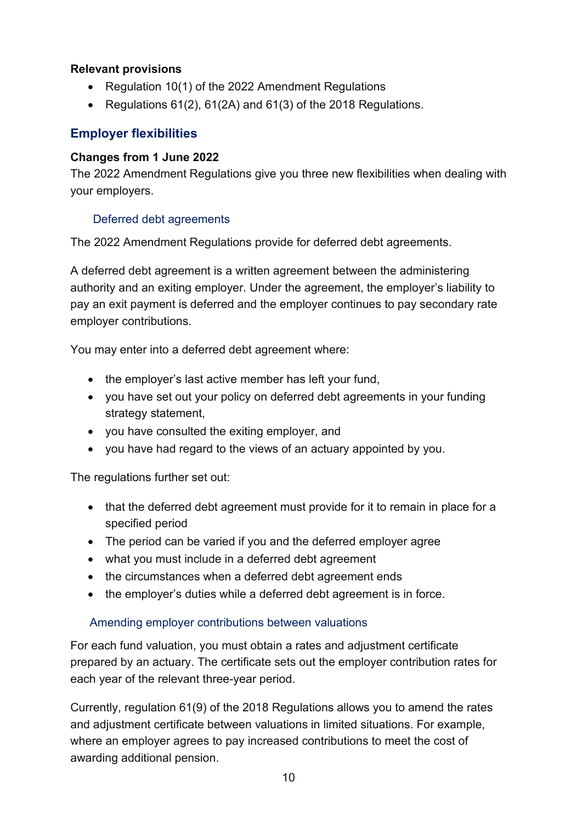#### **Relevant provisions**

- Regulation 10(1) of the 2022 Amendment Regulations
- Regulations 61(2), 61(2A) and 61(3) of the 2018 Regulations.

### <span id="page-9-0"></span>**Employer flexibilities**

### **Changes from 1 June 2022**

The 2022 Amendment Regulations give you three new flexibilities when dealing with your employers.

### Deferred debt agreements

The 2022 Amendment Regulations provide for deferred debt agreements.

A deferred debt agreement is a written agreement between the administering authority and an exiting employer. Under the agreement, the employer's liability to pay an exit payment is deferred and the employer continues to pay secondary rate employer contributions.

You may enter into a deferred debt agreement where:

- the employer's last active member has left your fund,
- you have set out your policy on deferred debt agreements in your funding strategy statement,
- you have consulted the exiting employer, and
- you have had regard to the views of an actuary appointed by you.

The regulations further set out:

- that the deferred debt agreement must provide for it to remain in place for a specified period
- The period can be varied if you and the deferred employer agree
- what you must include in a deferred debt agreement
- the circumstances when a deferred debt agreement ends
- the employer's duties while a deferred debt agreement is in force.

### Amending employer contributions between valuations

For each fund valuation, you must obtain a rates and adjustment certificate prepared by an actuary. The certificate sets out the employer contribution rates for each year of the relevant three-year period.

Currently, regulation 61(9) of the 2018 Regulations allows you to amend the rates and adjustment certificate between valuations in limited situations. For example, where an employer agrees to pay increased contributions to meet the cost of awarding additional pension.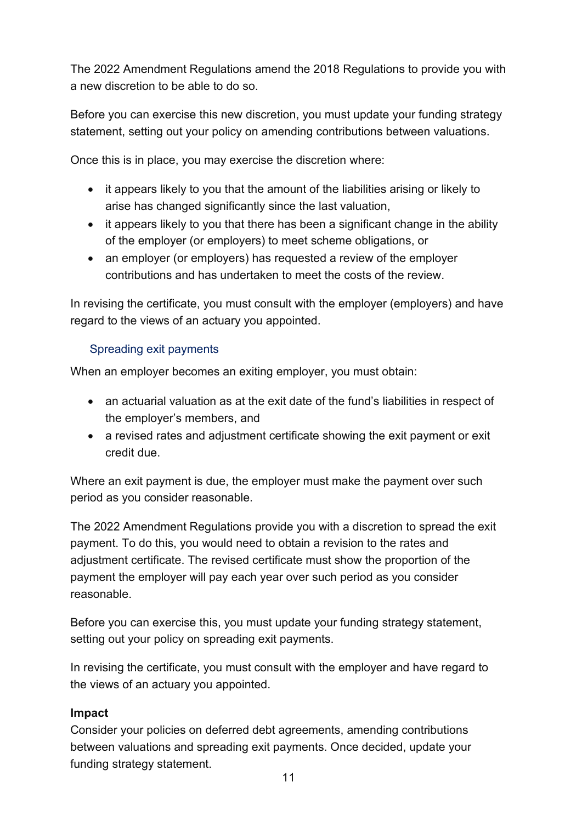The 2022 Amendment Regulations amend the 2018 Regulations to provide you with a new discretion to be able to do so.

Before you can exercise this new discretion, you must update your funding strategy statement, setting out your policy on amending contributions between valuations.

Once this is in place, you may exercise the discretion where:

- it appears likely to you that the amount of the liabilities arising or likely to arise has changed significantly since the last valuation,
- it appears likely to you that there has been a significant change in the ability of the employer (or employers) to meet scheme obligations, or
- an employer (or employers) has requested a review of the employer contributions and has undertaken to meet the costs of the review.

In revising the certificate, you must consult with the employer (employers) and have regard to the views of an actuary you appointed.

#### Spreading exit payments

When an employer becomes an exiting employer, you must obtain:

- an actuarial valuation as at the exit date of the fund's liabilities in respect of the employer's members, and
- a revised rates and adjustment certificate showing the exit payment or exit credit due.

Where an exit payment is due, the employer must make the payment over such period as you consider reasonable.

The 2022 Amendment Regulations provide you with a discretion to spread the exit payment. To do this, you would need to obtain a revision to the rates and adjustment certificate. The revised certificate must show the proportion of the payment the employer will pay each year over such period as you consider reasonable.

Before you can exercise this, you must update your funding strategy statement, setting out your policy on spreading exit payments.

In revising the certificate, you must consult with the employer and have regard to the views of an actuary you appointed.

#### **Impact**

Consider your policies on deferred debt agreements, amending contributions between valuations and spreading exit payments. Once decided, update your funding strategy statement.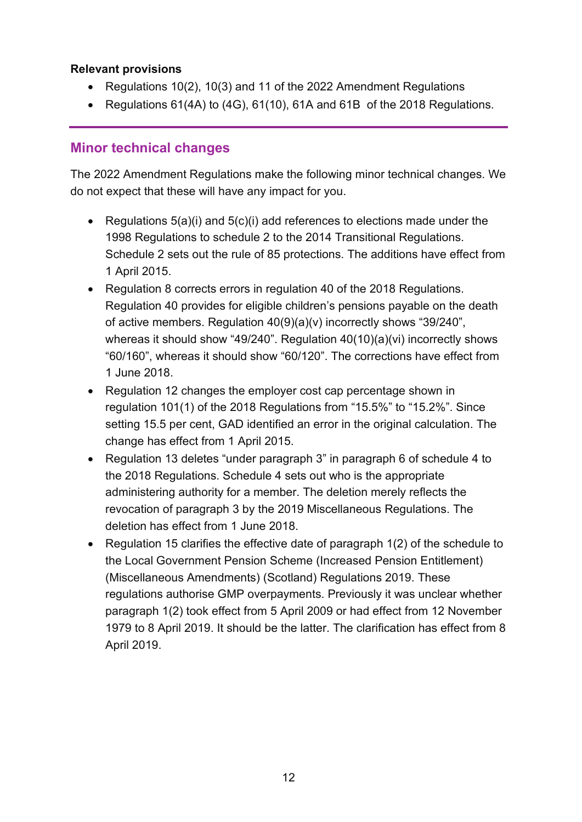#### **Relevant provisions**

- Regulations 10(2), 10(3) and 11 of the 2022 Amendment Regulations
- Regulations 61(4A) to (4G), 61(10), 61A and 61B of the 2018 Regulations.

### <span id="page-11-0"></span>**Minor technical changes**

The 2022 Amendment Regulations make the following minor technical changes. We do not expect that these will have any impact for you.

- Regulations 5(a)(i) and 5(c)(i) add references to elections made under the 1998 Regulations to schedule 2 to the 2014 Transitional Regulations. Schedule 2 sets out the rule of 85 protections. The additions have effect from 1 April 2015.
- Regulation 8 corrects errors in regulation 40 of the 2018 Regulations. Regulation 40 provides for eligible children's pensions payable on the death of active members. Regulation 40(9)(a)(v) incorrectly shows "39/240", whereas it should show "49/240". Regulation 40(10)(a)(vi) incorrectly shows "60/160", whereas it should show "60/120". The corrections have effect from 1 June 2018.
- Regulation 12 changes the employer cost cap percentage shown in regulation 101(1) of the 2018 Regulations from "15.5%" to "15.2%". Since setting 15.5 per cent, GAD identified an error in the original calculation. The change has effect from 1 April 2015.
- Regulation 13 deletes "under paragraph 3" in paragraph 6 of schedule 4 to the 2018 Regulations. Schedule 4 sets out who is the appropriate administering authority for a member. The deletion merely reflects the revocation of paragraph 3 by the 2019 Miscellaneous Regulations. The deletion has effect from 1 June 2018.
- Regulation 15 clarifies the effective date of paragraph 1(2) of the schedule to the Local Government Pension Scheme (Increased Pension Entitlement) (Miscellaneous Amendments) (Scotland) Regulations 2019. These regulations authorise GMP overpayments. Previously it was unclear whether paragraph 1(2) took effect from 5 April 2009 or had effect from 12 November 1979 to 8 April 2019. It should be the latter. The clarification has effect from 8 April 2019.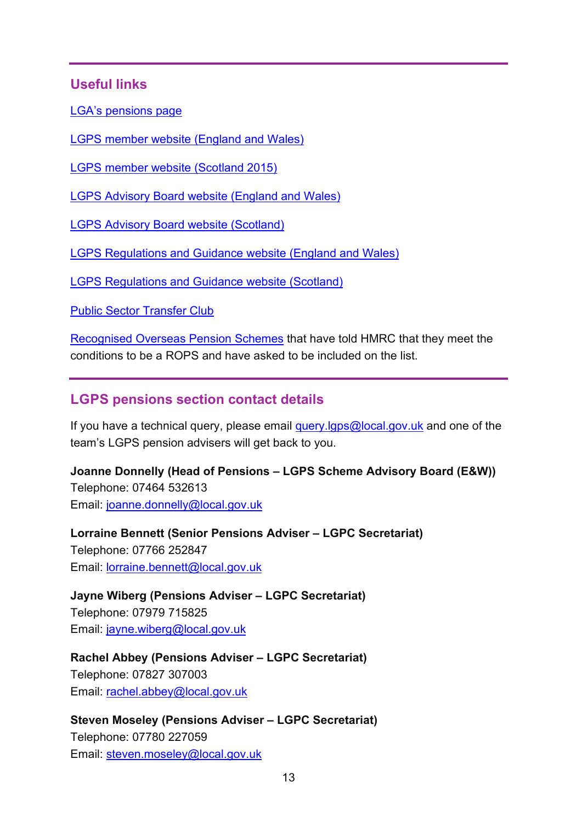### <span id="page-12-0"></span>**Useful links**

[LGA's pensions page](https://local.gov.uk/our-support/workforce-and-hr-support/local-government-pensions)

[LGPS member website \(England and Wales\)](https://www.lgpsmember.org/)

[LGPS member website \(Scotland 2015\)](https://calc.lgpsmember.org/scotlgps2015/apc/)

[LGPS Advisory Board website \(England and Wales\)](https://www.lgpsboard.org/)

[LGPS Advisory Board website \(Scotland\)](http://lgpsab.scot/)

[LGPS Regulations and Guidance website \(England and Wales\)](https://www.lgpsregs.org/)

[LGPS Regulations and Guidance website \(Scotland\)](https://www.scotlgpsregs.org/schemeregs/index.php)

[Public Sector Transfer Club](https://www.civilservicepensionscheme.org.uk/joining-the-pension-scheme/transfer-an-old-pension-into-your-civil-service-pension/public-sector-transfer-club/)

[Recognised Overseas Pension Schemes](https://www.gov.uk/guidance/check-the-recognised-overseas-pension-schemes-notification-list) that have told HMRC that they meet the conditions to be a ROPS and have asked to be included on the list.

### <span id="page-12-1"></span>**LGPS pensions section contact details**

If you have a technical query, please email query.  $q$  lgps  $@$  local.gov. uk and one of the team's LGPS pension advisers will get back to you.

**Joanne Donnelly (Head of Pensions – LGPS Scheme Advisory Board (E&W))** Telephone: 07464 532613 Email: [joanne.donnelly@local.gov.uk](mailto:joanne.donnelly@local.gov.uk)

**Lorraine Bennett (Senior Pensions Adviser – LGPC Secretariat)** Telephone: 07766 252847 Email: [lorraine.bennett@local.gov.uk](mailto:lorraine.bennett@local.gov.uk)

**Jayne Wiberg (Pensions Adviser – LGPC Secretariat)** Telephone: 07979 715825 Email: [jayne.wiberg@local.gov.uk](mailto:jayne.wiberg@local.gov.uk)

**Rachel Abbey (Pensions Adviser – LGPC Secretariat)** Telephone: 07827 307003

Email: [rachel.abbey@local.gov.uk](mailto:rachel.abbey@local.gov.uk)

**Steven Moseley (Pensions Adviser – LGPC Secretariat)** Telephone: 07780 227059 Email: [steven.moseley@local.gov.uk](mailto:steven.moseley@local.gov.uk)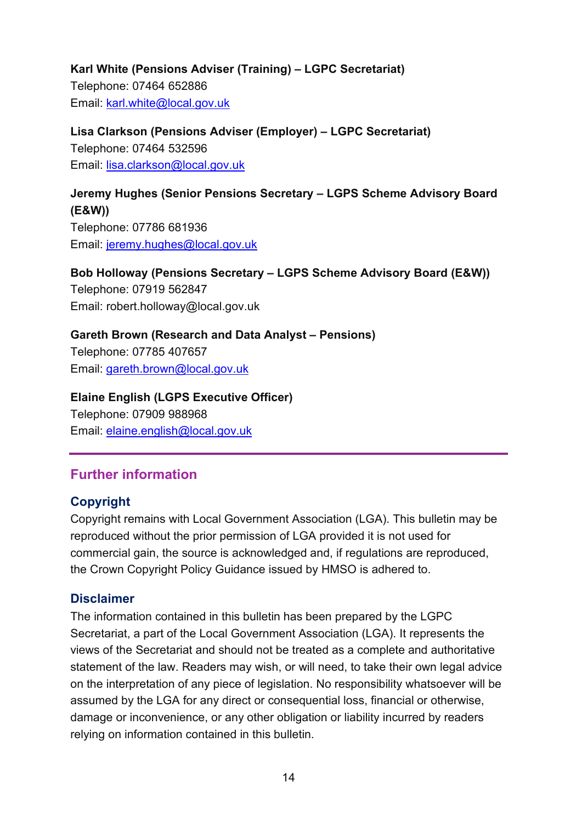### **Karl White (Pensions Adviser (Training) – LGPC Secretariat)** Telephone: 07464 652886 Email: [karl.white@local.gov.uk](mailto:karl.white@local.gov.uk)

**Lisa Clarkson (Pensions Adviser (Employer) – LGPC Secretariat)** Telephone: 07464 532596 Email: [lisa.clarkson@local.gov.uk](mailto:lisa.clarkson@local.gov.uk)

# **Jeremy Hughes (Senior Pensions Secretary – LGPS Scheme Advisory Board (E&W))**

Telephone: 07786 681936 Email: [jeremy.hughes@local.gov.uk](mailto:jeremy.hughes@local.gov.uk)

**Bob Holloway (Pensions Secretary – LGPS Scheme Advisory Board (E&W))** Telephone: 07919 562847 Email: [robert.holloway@local.gov.uk](mailto:robert.holloway@local.gov.uk)

**Gareth Brown (Research and Data Analyst – Pensions)** Telephone: 07785 407657 Email: [gareth.brown@local.gov.uk](mailto:gareth.brown@local.gov.uk)

### **Elaine English (LGPS Executive Officer)**

Telephone: 07909 988968 Email: [elaine.english@local.gov.uk](mailto:elaine.english@local.gov.uk)

## <span id="page-13-0"></span>**Further information**

### <span id="page-13-1"></span>**Copyright**

Copyright remains with Local Government Association (LGA). This bulletin may be reproduced without the prior permission of LGA provided it is not used for commercial gain, the source is acknowledged and, if regulations are reproduced, the Crown Copyright Policy Guidance issued by HMSO is adhered to.

### <span id="page-13-2"></span>**Disclaimer**

The information contained in this bulletin has been prepared by the LGPC Secretariat, a part of the Local Government Association (LGA). It represents the views of the Secretariat and should not be treated as a complete and authoritative statement of the law. Readers may wish, or will need, to take their own legal advice on the interpretation of any piece of legislation. No responsibility whatsoever will be assumed by the LGA for any direct or consequential loss, financial or otherwise, damage or inconvenience, or any other obligation or liability incurred by readers relying on information contained in this bulletin.